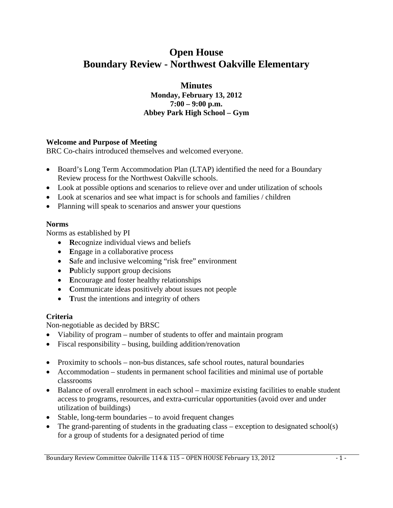# **Open House Boundary Review - Northwest Oakville Elementary**

**Minutes Monday, February 13, 2012 7:00 – 9:00 p.m. Abbey Park High School – Gym**

### **Welcome and Purpose of Meeting**

BRC Co-chairs introduced themselves and welcomed everyone.

- Board's Long Term Accommodation Plan (LTAP) identified the need for a Boundary Review process for the Northwest Oakville schools.
- Look at possible options and scenarios to relieve over and under utilization of schools
- Look at scenarios and see what impact is for schools and families / children
- Planning will speak to scenarios and answer your questions

# **Norms**

Norms as established by PI

- **R**ecognize individual views and beliefs
- Engage in a collaborative process
- Safe and inclusive welcoming "risk free" environment
- **Publicly support group decisions**
- Encourage and foster healthy relationships
- **C**ommunicate ideas positively about issues not people
- Trust the intentions and integrity of others

# **Criteria**

Non-negotiable as decided by BRSC

- Viability of program number of students to offer and maintain program
- Fiscal responsibility busing, building addition/renovation
- Proximity to schools non-bus distances, safe school routes, natural boundaries
- Accommodation students in permanent school facilities and minimal use of portable classrooms
- Balance of overall enrolment in each school maximize existing facilities to enable student access to programs, resources, and extra-curricular opportunities (avoid over and under utilization of buildings)
- Stable, long-term boundaries to avoid frequent changes
- The grand-parenting of students in the graduating class exception to designated school(s) for a group of students for a designated period of time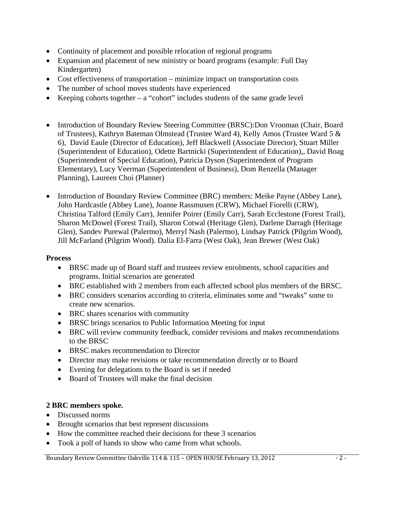- Continuity of placement and possible relocation of regional programs
- Expansion and placement of new ministry or board programs (example: Full Day Kindergarten)
- Cost effectiveness of transportation minimize impact on transportation costs
- The number of school moves students have experienced
- Keeping cohorts together  $-$  a "cohort" includes students of the same grade level
- Introduction of Boundary Review Steering Committee (BRSC):Don Vrooman (Chair, Board of Trustees), Kathryn Bateman Olmstead (Trustee Ward 4), Kelly Amos (Trustee Ward 5 & 6), David Eaule (Director of Education), Jeff Blackwell (Associate Director), Stuart Miller (Superintendent of Education), Odette Bartnicki (Superintendent of Education),, David Boag (Superintendent of Special Education), Patricia Dyson (Superintendent of Program Elementary), Lucy Veerman (Superintendent of Business), Dom Renzella (Manager Planning), Laureen Choi (Planner)
- Introduction of Boundary Review Committee (BRC) members: Meike Payne (Abbey Lane), John Hardcastle (Abbey Lane), Joanne Rassmusen (CRW), Michael Fiorelli (CRW), Christina Talford (Emily Carr), Jennifer Poirer (Emily Carr), Sarah Ecclestone (Forest Trail), Sharon McDowel (Forest Trail), Sharon Cotwal (Heritage Glen), Darlene Darragh (Heritage Glen), Sandev Purewal (Palermo), Merryl Nash (Palermo), Lindsay Patrick (Pilgrim Wood), Jill McFarland (Pilgrim Wood). Dalia El-Farra (West Oak), Jean Brewer (West Oak)

#### **Process**

- BRSC made up of Board staff and trustees review enrolments, school capacities and programs. Initial scenarios are generated
- BRC established with 2 members from each affected school plus members of the BRSC.
- BRC considers scenarios according to criteria, eliminates some and "tweaks" some to create new scenarios.
- BRC shares scenarios with community
- BRSC brings scenarios to Public Information Meeting for input
- BRC will review community feedback, consider revisions and makes recommendations to the BRSC
- BRSC makes recommendation to Director
- Director may make revisions or take recommendation directly or to Board
- Evening for delegations to the Board is set if needed
- Board of Trustees will make the final decision

#### **2 BRC members spoke.**

- Discussed norms
- Brought scenarios that best represent discussions
- How the committee reached their decisions for these 3 scenarios
- Took a poll of hands to show who came from what schools.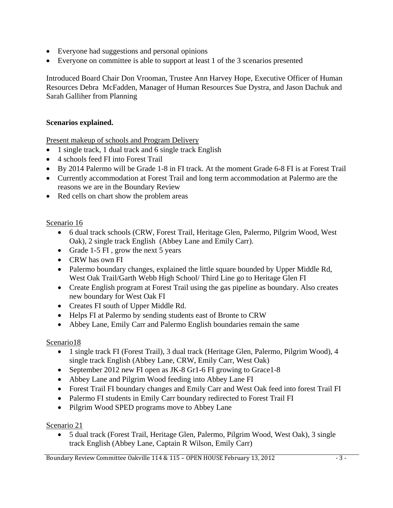- Everyone had suggestions and personal opinions
- Everyone on committee is able to support at least 1 of the 3 scenarios presented

Introduced Board Chair Don Vrooman, Trustee Ann Harvey Hope, Executive Officer of Human Resources Debra McFadden, Manager of Human Resources Sue Dystra, and Jason Dachuk and Sarah Galliher from Planning

#### **Scenarios explained.**

Present makeup of schools and Program Delivery

- 1 single track, 1 dual track and 6 single track English
- 4 schools feed FI into Forest Trail
- By 2014 Palermo will be Grade 1-8 in FI track. At the moment Grade 6-8 FI is at Forest Trail
- Currently accommodation at Forest Trail and long term accommodation at Palermo are the reasons we are in the Boundary Review
- Red cells on chart show the problem areas

#### Scenario 16

- 6 dual track schools (CRW, Forest Trail, Heritage Glen, Palermo, Pilgrim Wood, West Oak), 2 single track English (Abbey Lane and Emily Carr).
- Grade 1-5 FI, grow the next 5 years
- CRW has own FI
- Palermo boundary changes, explained the little square bounded by Upper Middle Rd, West Oak Trail/Garth Webb High School/ Third Line go to Heritage Glen FI
- Create English program at Forest Trail using the gas pipeline as boundary. Also creates new boundary for West Oak FI
- Creates FI south of Upper Middle Rd.
- Helps FI at Palermo by sending students east of Bronte to CRW
- Abbey Lane, Emily Carr and Palermo English boundaries remain the same

#### Scenario18

- 1 single track FI (Forest Trail), 3 dual track (Heritage Glen, Palermo, Pilgrim Wood), 4 single track English (Abbey Lane, CRW, Emily Carr, West Oak)
- September 2012 new FI open as JK-8 Gr1-6 FI growing to Grace1-8
- Abbey Lane and Pilgrim Wood feeding into Abbey Lane FI
- Forest Trail FI boundary changes and Emily Carr and West Oak feed into forest Trail FI
- Palermo FI students in Emily Carr boundary redirected to Forest Trail FI
- Pilgrim Wood SPED programs move to Abbey Lane

#### Scenario 21

• 5 dual track (Forest Trail, Heritage Glen, Palermo, Pilgrim Wood, West Oak), 3 single track English (Abbey Lane, Captain R Wilson, Emily Carr)